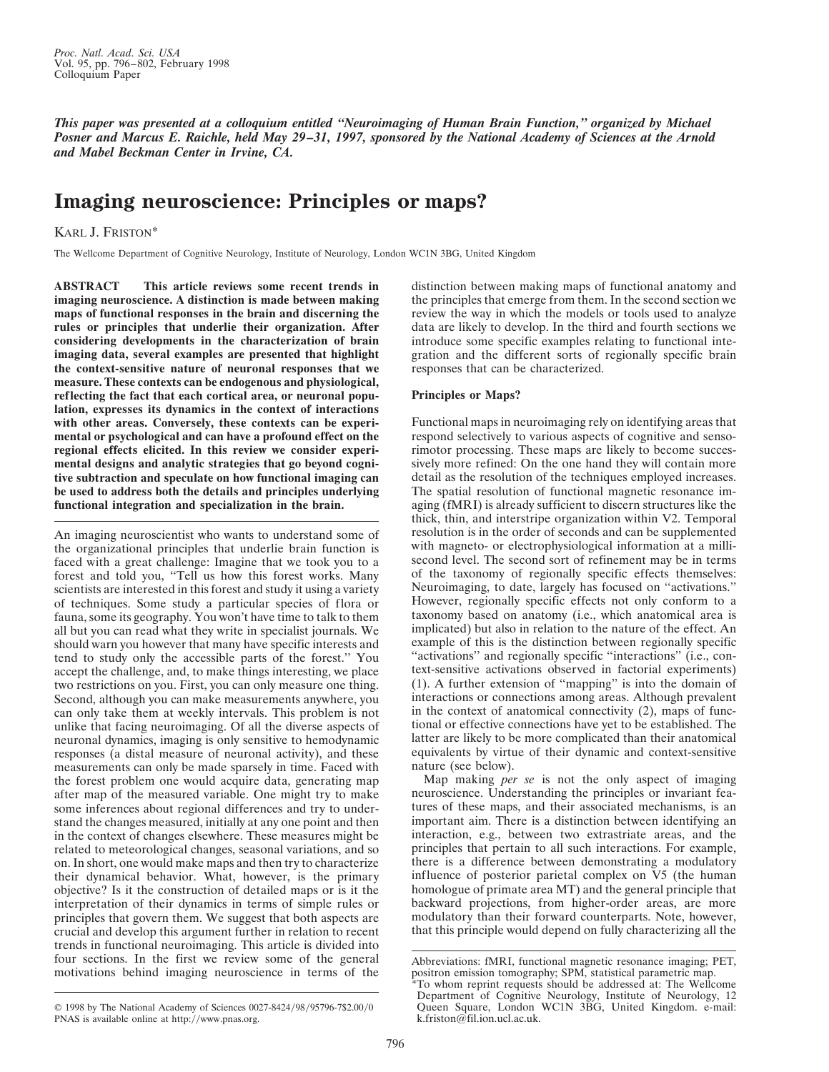*This paper was presented at a colloquium entitled ''Neuroimaging of Human Brain Function,'' organized by Michael Posner and Marcus E. Raichle, held May 29–31, 1997, sponsored by the National Academy of Sciences at the Arnold and Mabel Beckman Center in Irvine, CA.*

# **Imaging neuroscience: Principles or maps?**

# KARL J. FRISTON\*

The Wellcome Department of Cognitive Neurology, Institute of Neurology, London WC1N 3BG, United Kingdom

**ABSTRACT This article reviews some recent trends in imaging neuroscience. A distinction is made between making maps of functional responses in the brain and discerning the rules or principles that underlie their organization. After considering developments in the characterization of brain imaging data, several examples are presented that highlight the context-sensitive nature of neuronal responses that we measure. These contexts can be endogenous and physiological, reflecting the fact that each cortical area, or neuronal population, expresses its dynamics in the context of interactions with other areas. Conversely, these contexts can be experimental or psychological and can have a profound effect on the regional effects elicited. In this review we consider experimental designs and analytic strategies that go beyond cognitive subtraction and speculate on how functional imaging can be used to address both the details and principles underlying functional integration and specialization in the brain.**

An imaging neuroscientist who wants to understand some of the organizational principles that underlie brain function is faced with a great challenge: Imagine that we took you to a forest and told you, ''Tell us how this forest works. Many scientists are interested in this forest and study it using a variety of techniques. Some study a particular species of flora or fauna, some its geography. You won't have time to talk to them all but you can read what they write in specialist journals. We should warn you however that many have specific interests and tend to study only the accessible parts of the forest.'' You accept the challenge, and, to make things interesting, we place two restrictions on you. First, you can only measure one thing. Second, although you can make measurements anywhere, you can only take them at weekly intervals. This problem is not unlike that facing neuroimaging. Of all the diverse aspects of neuronal dynamics, imaging is only sensitive to hemodynamic responses (a distal measure of neuronal activity), and these measurements can only be made sparsely in time. Faced with the forest problem one would acquire data, generating map after map of the measured variable. One might try to make some inferences about regional differences and try to understand the changes measured, initially at any one point and then in the context of changes elsewhere. These measures might be related to meteorological changes, seasonal variations, and so on. In short, one would make maps and then try to characterize their dynamical behavior. What, however, is the primary objective? Is it the construction of detailed maps or is it the interpretation of their dynamics in terms of simple rules or principles that govern them. We suggest that both aspects are crucial and develop this argument further in relation to recent trends in functional neuroimaging. This article is divided into four sections. In the first we review some of the general motivations behind imaging neuroscience in terms of the

distinction between making maps of functional anatomy and the principles that emerge from them. In the second section we review the way in which the models or tools used to analyze data are likely to develop. In the third and fourth sections we introduce some specific examples relating to functional integration and the different sorts of regionally specific brain responses that can be characterized.

## **Principles or Maps?**

Functional maps in neuroimaging rely on identifying areas that respond selectively to various aspects of cognitive and sensorimotor processing. These maps are likely to become successively more refined: On the one hand they will contain more detail as the resolution of the techniques employed increases. The spatial resolution of functional magnetic resonance imaging (fMRI) is already sufficient to discern structures like the thick, thin, and interstripe organization within V2. Temporal resolution is in the order of seconds and can be supplemented with magneto- or electrophysiological information at a millisecond level. The second sort of refinement may be in terms of the taxonomy of regionally specific effects themselves: Neuroimaging, to date, largely has focused on ''activations.'' However, regionally specific effects not only conform to a taxonomy based on anatomy (i.e., which anatomical area is implicated) but also in relation to the nature of the effect. An example of this is the distinction between regionally specific "activations" and regionally specific "interactions" (i.e., context-sensitive activations observed in factorial experiments) (1). A further extension of ''mapping'' is into the domain of interactions or connections among areas. Although prevalent in the context of anatomical connectivity (2), maps of functional or effective connections have yet to be established. The latter are likely to be more complicated than their anatomical equivalents by virtue of their dynamic and context-sensitive nature (see below).

Map making *per se* is not the only aspect of imaging neuroscience. Understanding the principles or invariant features of these maps, and their associated mechanisms, is an important aim. There is a distinction between identifying an interaction, e.g., between two extrastriate areas, and the principles that pertain to all such interactions. For example, there is a difference between demonstrating a modulatory influence of posterior parietal complex on V5 (the human homologue of primate area MT) and the general principle that backward projections, from higher-order areas, are more modulatory than their forward counterparts. Note, however, that this principle would depend on fully characterizing all the

Abbreviations: fMRI, functional magnetic resonance imaging; PET, positron emission tomography; SPM, statistical parametric map.

<sup>\*</sup>To whom reprint requests should be addressed at: The Wellcome Department of Cognitive Neurology, Institute of Neurology, 12 Queen Square, London WC1N 3BG, United Kingdom. e-mail: k.friston@fil.ion.ucl.ac.uk.

<sup>© 1998</sup> by The National Academy of Sciences 0027-8424/98/95796-7\$2.00/0 PNAS is available online at http://www.pnas.org.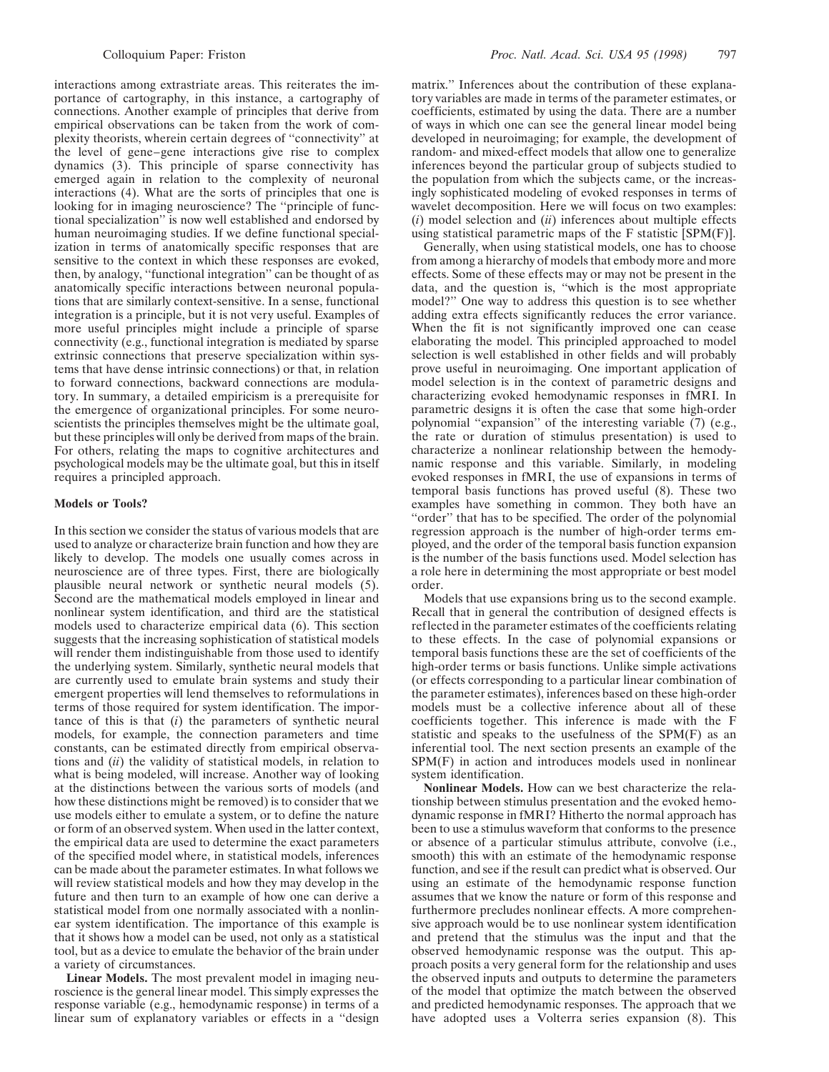interactions among extrastriate areas. This reiterates the importance of cartography, in this instance, a cartography of connections. Another example of principles that derive from empirical observations can be taken from the work of complexity theorists, wherein certain degrees of ''connectivity'' at the level of gene–gene interactions give rise to complex dynamics (3). This principle of sparse connectivity has emerged again in relation to the complexity of neuronal interactions (4). What are the sorts of principles that one is looking for in imaging neuroscience? The ''principle of functional specialization'' is now well established and endorsed by human neuroimaging studies. If we define functional specialization in terms of anatomically specific responses that are sensitive to the context in which these responses are evoked, then, by analogy, ''functional integration'' can be thought of as anatomically specific interactions between neuronal populations that are similarly context-sensitive. In a sense, functional integration is a principle, but it is not very useful. Examples of more useful principles might include a principle of sparse connectivity (e.g., functional integration is mediated by sparse extrinsic connections that preserve specialization within systems that have dense intrinsic connections) or that, in relation to forward connections, backward connections are modulatory. In summary, a detailed empiricism is a prerequisite for the emergence of organizational principles. For some neuroscientists the principles themselves might be the ultimate goal, but these principles will only be derived from maps of the brain. For others, relating the maps to cognitive architectures and psychological models may be the ultimate goal, but this in itself requires a principled approach.

## **Models or Tools?**

In this section we consider the status of various models that are used to analyze or characterize brain function and how they are likely to develop. The models one usually comes across in neuroscience are of three types. First, there are biologically plausible neural network or synthetic neural models (5). Second are the mathematical models employed in linear and nonlinear system identification, and third are the statistical models used to characterize empirical data (6). This section suggests that the increasing sophistication of statistical models will render them indistinguishable from those used to identify the underlying system. Similarly, synthetic neural models that are currently used to emulate brain systems and study their emergent properties will lend themselves to reformulations in terms of those required for system identification. The importance of this is that (*i*) the parameters of synthetic neural models, for example, the connection parameters and time constants, can be estimated directly from empirical observations and (*ii*) the validity of statistical models, in relation to what is being modeled, will increase. Another way of looking at the distinctions between the various sorts of models (and how these distinctions might be removed) is to consider that we use models either to emulate a system, or to define the nature or form of an observed system. When used in the latter context, the empirical data are used to determine the exact parameters of the specified model where, in statistical models, inferences can be made about the parameter estimates. In what follows we will review statistical models and how they may develop in the future and then turn to an example of how one can derive a statistical model from one normally associated with a nonlinear system identification. The importance of this example is that it shows how a model can be used, not only as a statistical tool, but as a device to emulate the behavior of the brain under a variety of circumstances.

**Linear Models.** The most prevalent model in imaging neuroscience is the general linear model. This simply expresses the response variable (e.g., hemodynamic response) in terms of a linear sum of explanatory variables or effects in a ''design matrix.'' Inferences about the contribution of these explanatory variables are made in terms of the parameter estimates, or coefficients, estimated by using the data. There are a number of ways in which one can see the general linear model being developed in neuroimaging; for example, the development of random- and mixed-effect models that allow one to generalize inferences beyond the particular group of subjects studied to the population from which the subjects came, or the increasingly sophisticated modeling of evoked responses in terms of wavelet decomposition. Here we will focus on two examples: (*i*) model selection and (*ii*) inferences about multiple effects using statistical parametric maps of the F statistic [SPM(F)].

Generally, when using statistical models, one has to choose from among a hierarchy of models that embody more and more effects. Some of these effects may or may not be present in the data, and the question is, ''which is the most appropriate model?'' One way to address this question is to see whether adding extra effects significantly reduces the error variance. When the fit is not significantly improved one can cease elaborating the model. This principled approached to model selection is well established in other fields and will probably prove useful in neuroimaging. One important application of model selection is in the context of parametric designs and characterizing evoked hemodynamic responses in fMRI. In parametric designs it is often the case that some high-order polynomial "expansion" of the interesting variable  $(7)$  (e.g., the rate or duration of stimulus presentation) is used to characterize a nonlinear relationship between the hemodynamic response and this variable. Similarly, in modeling evoked responses in fMRI, the use of expansions in terms of temporal basis functions has proved useful (8). These two examples have something in common. They both have an ''order'' that has to be specified. The order of the polynomial regression approach is the number of high-order terms employed, and the order of the temporal basis function expansion is the number of the basis functions used. Model selection has a role here in determining the most appropriate or best model order.

Models that use expansions bring us to the second example. Recall that in general the contribution of designed effects is reflected in the parameter estimates of the coefficients relating to these effects. In the case of polynomial expansions or temporal basis functions these are the set of coefficients of the high-order terms or basis functions. Unlike simple activations (or effects corresponding to a particular linear combination of the parameter estimates), inferences based on these high-order models must be a collective inference about all of these coefficients together. This inference is made with the F statistic and speaks to the usefulness of the SPM(F) as an inferential tool. The next section presents an example of the SPM(F) in action and introduces models used in nonlinear system identification.

**Nonlinear Models.** How can we best characterize the relationship between stimulus presentation and the evoked hemodynamic response in fMRI? Hitherto the normal approach has been to use a stimulus waveform that conforms to the presence or absence of a particular stimulus attribute, convolve (i.e., smooth) this with an estimate of the hemodynamic response function, and see if the result can predict what is observed. Our using an estimate of the hemodynamic response function assumes that we know the nature or form of this response and furthermore precludes nonlinear effects. A more comprehensive approach would be to use nonlinear system identification and pretend that the stimulus was the input and that the observed hemodynamic response was the output. This approach posits a very general form for the relationship and uses the observed inputs and outputs to determine the parameters of the model that optimize the match between the observed and predicted hemodynamic responses. The approach that we have adopted uses a Volterra series expansion (8). This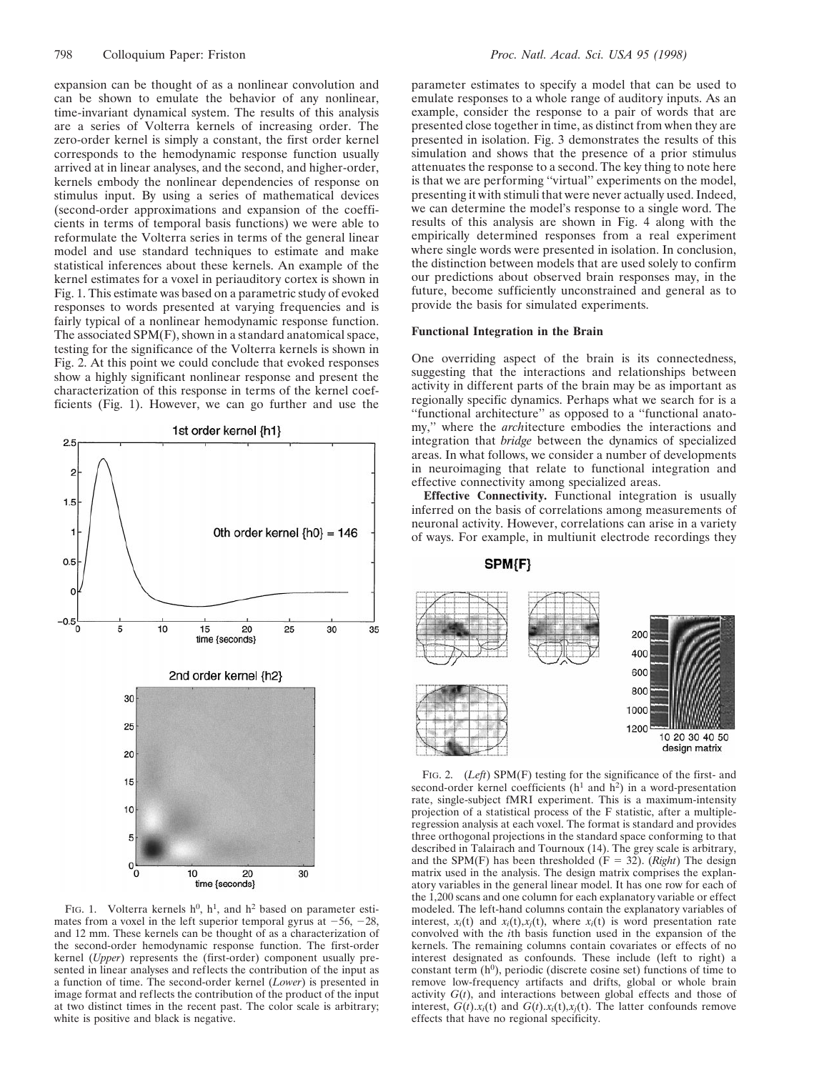expansion can be thought of as a nonlinear convolution and can be shown to emulate the behavior of any nonlinear, time-invariant dynamical system. The results of this analysis are a series of Volterra kernels of increasing order. The zero-order kernel is simply a constant, the first order kernel corresponds to the hemodynamic response function usually arrived at in linear analyses, and the second, and higher-order, kernels embody the nonlinear dependencies of response on stimulus input. By using a series of mathematical devices (second-order approximations and expansion of the coefficients in terms of temporal basis functions) we were able to reformulate the Volterra series in terms of the general linear model and use standard techniques to estimate and make statistical inferences about these kernels. An example of the kernel estimates for a voxel in periauditory cortex is shown in Fig. 1. This estimate was based on a parametric study of evoked responses to words presented at varying frequencies and is fairly typical of a nonlinear hemodynamic response function. The associated SPM(F), shown in a standard anatomical space, testing for the significance of the Volterra kernels is shown in Fig. 2. At this point we could conclude that evoked responses show a highly significant nonlinear response and present the characterization of this response in terms of the kernel coefficients (Fig. 1). However, we can go further and use the



FIG. 1. Volterra kernels  $h^0$ ,  $h^1$ , and  $h^2$  based on parameter estimates from a voxel in the left superior temporal gyrus at  $-56$ ,  $-28$ , and 12 mm. These kernels can be thought of as a characterization of the second-order hemodynamic response function. The first-order kernel (*Upper*) represents the (first-order) component usually presented in linear analyses and reflects the contribution of the input as a function of time. The second-order kernel (*Lower*) is presented in image format and reflects the contribution of the product of the input at two distinct times in the recent past. The color scale is arbitrary; white is positive and black is negative.

parameter estimates to specify a model that can be used to emulate responses to a whole range of auditory inputs. As an example, consider the response to a pair of words that are presented close together in time, as distinct from when they are presented in isolation. Fig. 3 demonstrates the results of this simulation and shows that the presence of a prior stimulus attenuates the response to a second. The key thing to note here is that we are performing ''virtual'' experiments on the model, presenting it with stimuli that were never actually used. Indeed, we can determine the model's response to a single word. The results of this analysis are shown in Fig. 4 along with the empirically determined responses from a real experiment where single words were presented in isolation. In conclusion, the distinction between models that are used solely to confirm our predictions about observed brain responses may, in the future, become sufficiently unconstrained and general as to provide the basis for simulated experiments.

#### **Functional Integration in the Brain**

SPM{F}

One overriding aspect of the brain is its connectedness, suggesting that the interactions and relationships between activity in different parts of the brain may be as important as regionally specific dynamics. Perhaps what we search for is a ''functional architecture'' as opposed to a ''functional anatomy,'' where the *arch*itecture embodies the interactions and integration that *bridge* between the dynamics of specialized areas. In what follows, we consider a number of developments in neuroimaging that relate to functional integration and effective connectivity among specialized areas.

**Effective Connectivity.** Functional integration is usually inferred on the basis of correlations among measurements of neuronal activity. However, correlations can arise in a variety of ways. For example, in multiunit electrode recordings they



10 20 30 40 50 design matrix

FIG. 2. (*Left*) SPM(F) testing for the significance of the first- and second-order kernel coefficients  $(h^1$  and  $h^2)$  in a word-presentation rate, single-subject fMRI experiment. This is a maximum-intensity projection of a statistical process of the F statistic, after a multipleregression analysis at each voxel. The format is standard and provides three orthogonal projections in the standard space conforming to that described in Talairach and Tournoux (14). The grey scale is arbitrary, and the SPM(F) has been thresholded  $(F = 32)$ . (*Right*) The design matrix used in the analysis. The design matrix comprises the explanatory variables in the general linear model. It has one row for each of the 1,200 scans and one column for each explanatory variable or effect modeled. The left-hand columns contain the explanatory variables of interest,  $x_i(t)$  and  $x_i(t), x_j(t)$ , where  $x_i(t)$  is word presentation rate convolved with the *i*th basis function used in the expansion of the kernels. The remaining columns contain covariates or effects of no interest designated as confounds. These include (left to right) a constant term  $(h^0)$ , periodic (discrete cosine set) functions of time to remove low-frequency artifacts and drifts, global or whole brain activity  $G(t)$ , and interactions between global effects and those of interest,  $G(t)$ .  $x_i(t)$  and  $G(t)$ .  $x_i(t)$ ,  $x_i(t)$ . The latter confounds remove effects that have no regional specificity.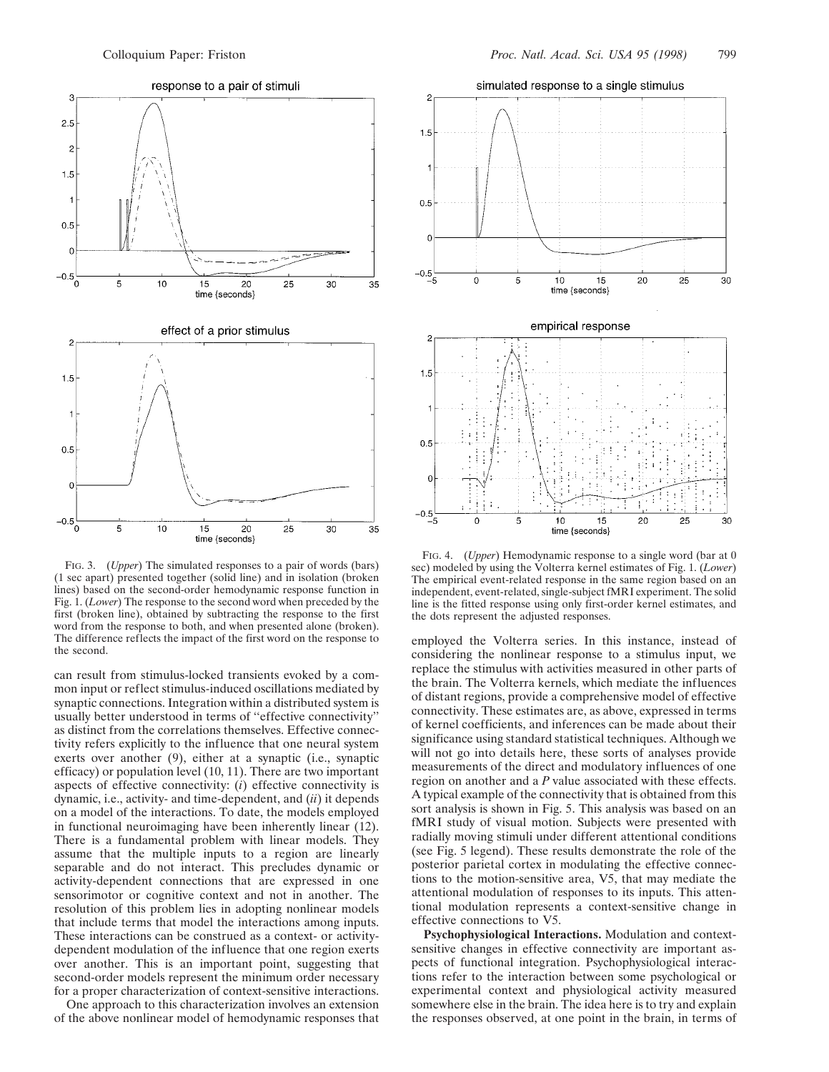

FIG. 3. (*Upper*) The simulated responses to a pair of words (bars) (1 sec apart) presented together (solid line) and in isolation (broken lines) based on the second-order hemodynamic response function in Fig. 1. (*Lower*) The response to the second word when preceded by the first (broken line), obtained by subtracting the response to the first word from the response to both, and when presented alone (broken). The difference reflects the impact of the first word on the response to the second.

can result from stimulus-locked transients evoked by a common input or reflect stimulus-induced oscillations mediated by synaptic connections. Integration within a distributed system is usually better understood in terms of ''effective connectivity'' as distinct from the correlations themselves. Effective connectivity refers explicitly to the influence that one neural system exerts over another (9), either at a synaptic (i.e., synaptic efficacy) or population level (10, 11). There are two important aspects of effective connectivity: (*i*) effective connectivity is dynamic, i.e., activity- and time-dependent, and (*ii*) it depends on a model of the interactions. To date, the models employed in functional neuroimaging have been inherently linear (12). There is a fundamental problem with linear models. They assume that the multiple inputs to a region are linearly separable and do not interact. This precludes dynamic or activity-dependent connections that are expressed in one sensorimotor or cognitive context and not in another. The resolution of this problem lies in adopting nonlinear models that include terms that model the interactions among inputs. These interactions can be construed as a context- or activitydependent modulation of the influence that one region exerts over another. This is an important point, suggesting that second-order models represent the minimum order necessary for a proper characterization of context-sensitive interactions.

One approach to this characterization involves an extension of the above nonlinear model of hemodynamic responses that



FIG. 4. (*Upper*) Hemodynamic response to a single word (bar at 0 sec) modeled by using the Volterra kernel estimates of Fig. 1. (*Lower*) The empirical event-related response in the same region based on an independent, event-related, single-subject fMRI experiment. The solid line is the fitted response using only first-order kernel estimates, and the dots represent the adjusted responses.

employed the Volterra series. In this instance, instead of considering the nonlinear response to a stimulus input, we replace the stimulus with activities measured in other parts of the brain. The Volterra kernels, which mediate the influences of distant regions, provide a comprehensive model of effective connectivity. These estimates are, as above, expressed in terms of kernel coefficients, and inferences can be made about their significance using standard statistical techniques. Although we will not go into details here, these sorts of analyses provide measurements of the direct and modulatory influences of one region on another and a *P* value associated with these effects. A typical example of the connectivity that is obtained from this sort analysis is shown in Fig. 5. This analysis was based on an fMRI study of visual motion. Subjects were presented with radially moving stimuli under different attentional conditions (see Fig. 5 legend). These results demonstrate the role of the posterior parietal cortex in modulating the effective connections to the motion-sensitive area, V5, that may mediate the attentional modulation of responses to its inputs. This attentional modulation represents a context-sensitive change in effective connections to V5.

**Psychophysiological Interactions.** Modulation and contextsensitive changes in effective connectivity are important aspects of functional integration. Psychophysiological interactions refer to the interaction between some psychological or experimental context and physiological activity measured somewhere else in the brain. The idea here is to try and explain the responses observed, at one point in the brain, in terms of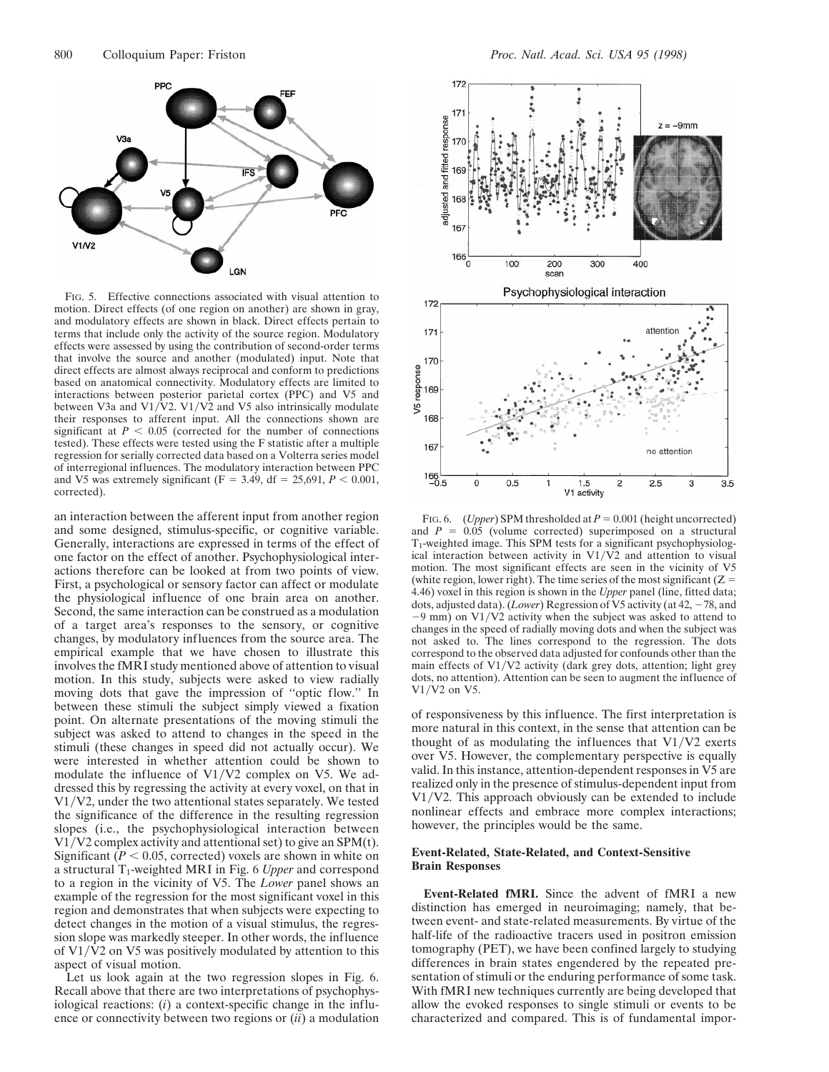

FIG. 5. Effective connections associated with visual attention to motion. Direct effects (of one region on another) are shown in gray, and modulatory effects are shown in black. Direct effects pertain to terms that include only the activity of the source region. Modulatory effects were assessed by using the contribution of second-order terms that involve the source and another (modulated) input. Note that direct effects are almost always reciprocal and conform to predictions based on anatomical connectivity. Modulatory effects are limited to interactions between posterior parietal cortex (PPC) and V5 and between V3a and V1/V2. V1/V2 and V5 also intrinsically modulate their responses to afferent input. All the connections shown are significant at  $P < 0.05$  (corrected for the number of connections tested). These effects were tested using the F statistic after a multiple regression for serially corrected data based on a Volterra series model of interregional influences. The modulatory interaction between PPC and V5 was extremely significant (F = 3.49, df = 25,691,  $P < 0.001$ , corrected).

an interaction between the afferent input from another region and some designed, stimulus-specific, or cognitive variable. Generally, interactions are expressed in terms of the effect of one factor on the effect of another. Psychophysiological interactions therefore can be looked at from two points of view. First, a psychological or sensory factor can affect or modulate the physiological influence of one brain area on another. Second, the same interaction can be construed as a modulation of a target area's responses to the sensory, or cognitive changes, by modulatory influences from the source area. The empirical example that we have chosen to illustrate this involves the fMRI study mentioned above of attention to visual motion. In this study, subjects were asked to view radially moving dots that gave the impression of ''optic flow.'' In between these stimuli the subject simply viewed a fixation point. On alternate presentations of the moving stimuli the subject was asked to attend to changes in the speed in the stimuli (these changes in speed did not actually occur). We were interested in whether attention could be shown to modulate the influence of  $V1/V2$  complex on V5. We addressed this by regressing the activity at every voxel, on that in  $V1/V2$ , under the two attentional states separately. We tested the significance of the difference in the resulting regression slopes (i.e., the psychophysiological interaction between  $V1/V2$  complex activity and attentional set) to give an SPM(t). Significant ( $P < 0.05$ , corrected) voxels are shown in white on a structural T1-weighted MRI in Fig. 6 *Upper* and correspond to a region in the vicinity of V5. The *Lower* panel shows an example of the regression for the most significant voxel in this region and demonstrates that when subjects were expecting to detect changes in the motion of a visual stimulus, the regression slope was markedly steeper. In other words, the influence of  $V1/V2$  on  $V5$  was positively modulated by attention to this aspect of visual motion.

Let us look again at the two regression slopes in Fig. 6. Recall above that there are two interpretations of psychophysiological reactions: (*i*) a context-specific change in the influence or connectivity between two regions or (*ii*) a modulation



FIG. 6. (*Upper*) SPM thresholded at  $P = 0.001$  (height uncorrected) and  $P = 0.05$  (volume corrected) superimposed on a structural  $T_1$ -weighted image. This SPM tests for a significant psychophysiological interaction between activity in  $V1/V2$  and attention to visual motion. The most significant effects are seen in the vicinity of V5 (white region, lower right). The time series of the most significant ( $Z =$ 4.46) voxel in this region is shown in the *Upper* panel (line, fitted data; dots, adjusted data). (*Lower*) Regression of V5 activity (at 42, -78, and  $-9$  mm) on V1/V2 activity when the subject was asked to attend to changes in the speed of radially moving dots and when the subject was not asked to. The lines correspond to the regression. The dots correspond to the observed data adjusted for confounds other than the main effects of  $V1/V2$  activity (dark grey dots, attention; light grey dots, no attention). Attention can be seen to augment the influence of  $V1/V2$  on V5.

of responsiveness by this influence. The first interpretation is more natural in this context, in the sense that attention can be thought of as modulating the influences that  $V1/V2$  exerts over V5. However, the complementary perspective is equally valid. In this instance, attention-dependent responses in V5 are realized only in the presence of stimulus-dependent input from  $V1/V2$ . This approach obviously can be extended to include nonlinear effects and embrace more complex interactions; however, the principles would be the same.

## **Event-Related, State-Related, and Context-Sensitive Brain Responses**

**Event-Related fMRI.** Since the advent of fMRI a new distinction has emerged in neuroimaging; namely, that between event- and state-related measurements. By virtue of the half-life of the radioactive tracers used in positron emission tomography (PET), we have been confined largely to studying differences in brain states engendered by the repeated presentation of stimuli or the enduring performance of some task. With fMRI new techniques currently are being developed that allow the evoked responses to single stimuli or events to be characterized and compared. This is of fundamental impor-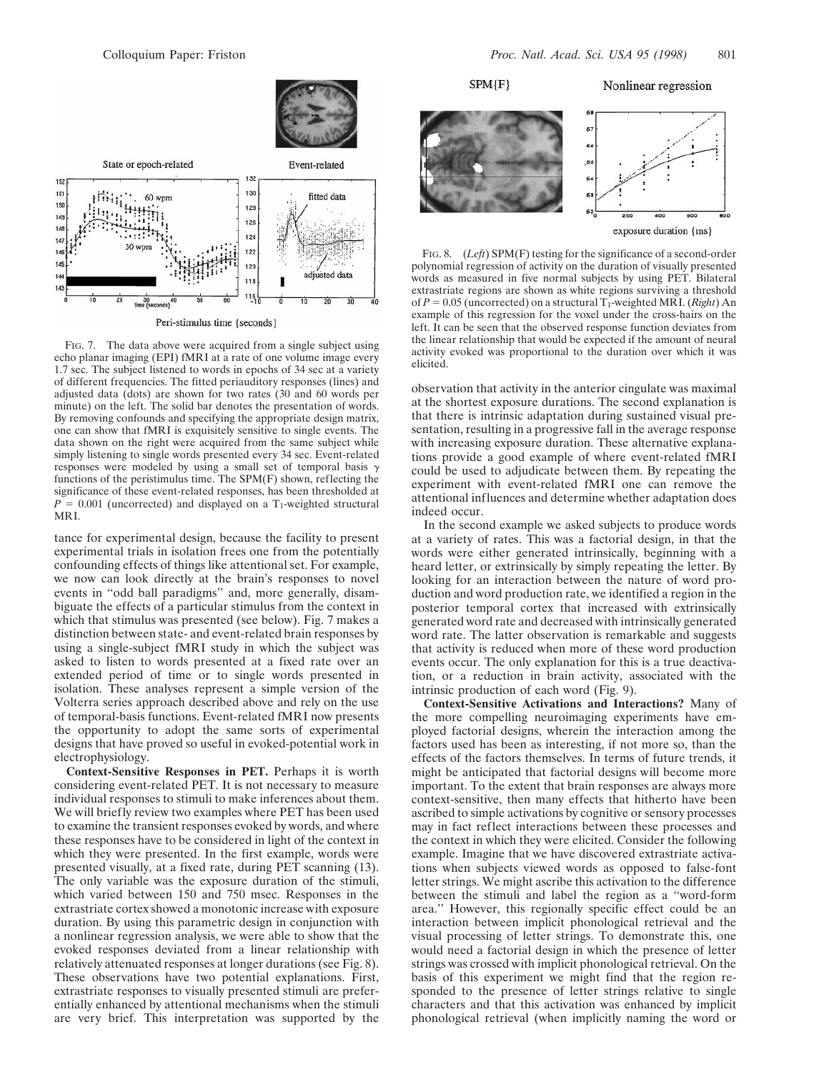

Peri-stimulus time {seconds}

FIG. 7. The data above were acquired from a single subject using echo planar imaging (EPI) fMRI at a rate of one volume image every 1.7 sec. The subject listened to words in epochs of 34 sec at a variety of different frequencies. The fitted periauditory responses (lines) and adjusted data (dots) are shown for two rates (30 and 60 words per minute) on the left. The solid bar denotes the presentation of words. By removing confounds and specifying the appropriate design matrix, one can show that fMRI is exquisitely sensitive to single events. The data shown on the right were acquired from the same subject while simply listening to single words presented every 34 sec. Event-related responses were modeled by using a small set of temporal basis  $\gamma$ functions of the peristimulus time. The SPM(F) shown, reflecting the significance of these event-related responses, has been thresholded at  $P = 0.001$  (uncorrected) and displayed on a T<sub>1</sub>-weighted structural MRI.

tance for experimental design, because the facility to present experimental trials in isolation frees one from the potentially confounding effects of things like attentional set. For example, we now can look directly at the brain's responses to novel events in ''odd ball paradigms'' and, more generally, disambiguate the effects of a particular stimulus from the context in which that stimulus was presented (see below). Fig. 7 makes a distinction between state- and event-related brain responses by using a single-subject fMRI study in which the subject was asked to listen to words presented at a fixed rate over an extended period of time or to single words presented in isolation. These analyses represent a simple version of the Volterra series approach described above and rely on the use of temporal-basis functions. Event-related fMRI now presents the opportunity to adopt the same sorts of experimental designs that have proved so useful in evoked-potential work in electrophysiology.

**Context-Sensitive Responses in PET.** Perhaps it is worth considering event-related PET. It is not necessary to measure individual responses to stimuli to make inferences about them. We will briefly review two examples where PET has been used to examine the transient responses evoked by words, and where these responses have to be considered in light of the context in which they were presented. In the first example, words were presented visually, at a fixed rate, during PET scanning (13). The only variable was the exposure duration of the stimuli, which varied between 150 and 750 msec. Responses in the extrastriate cortex showed a monotonic increase with exposure duration. By using this parametric design in conjunction with a nonlinear regression analysis, we were able to show that the evoked responses deviated from a linear relationship with relatively attenuated responses at longer durations (see Fig. 8). These observations have two potential explanations. First, extrastriate responses to visually presented stimuli are preferentially enhanced by attentional mechanisms when the stimuli are very brief. This interpretation was supported by the

 $SPM(F)$ 

#### Nonlinear regression



FIG. 8. (*Left*) SPM(F) testing for the significance of a second-order polynomial regression of activity on the duration of visually presented words as measured in five normal subjects by using PET. Bilateral extrastriate regions are shown as white regions surviving a threshold of  $P = 0.05$  (uncorrected) on a structural T<sub>1</sub>-weighted MRI. (*Right*) An example of this regression for the voxel under the cross-hairs on the left. It can be seen that the observed response function deviates from the linear relationship that would be expected if the amount of neural activity evoked was proportional to the duration over which it was elicited.

observation that activity in the anterior cingulate was maximal at the shortest exposure durations. The second explanation is that there is intrinsic adaptation during sustained visual presentation, resulting in a progressive fall in the average response with increasing exposure duration. These alternative explanations provide a good example of where event-related fMRI could be used to adjudicate between them. By repeating the experiment with event-related fMRI one can remove the attentional influences and determine whether adaptation does indeed occur.

In the second example we asked subjects to produce words at a variety of rates. This was a factorial design, in that the words were either generated intrinsically, beginning with a heard letter, or extrinsically by simply repeating the letter. By looking for an interaction between the nature of word production and word production rate, we identified a region in the posterior temporal cortex that increased with extrinsically generated word rate and decreased with intrinsically generated word rate. The latter observation is remarkable and suggests that activity is reduced when more of these word production events occur. The only explanation for this is a true deactivation, or a reduction in brain activity, associated with the intrinsic production of each word (Fig. 9).

**Context-Sensitive Activations and Interactions?** Many of the more compelling neuroimaging experiments have employed factorial designs, wherein the interaction among the factors used has been as interesting, if not more so, than the effects of the factors themselves. In terms of future trends, it might be anticipated that factorial designs will become more important. To the extent that brain responses are always more context-sensitive, then many effects that hitherto have been ascribed to simple activations by cognitive or sensory processes may in fact reflect interactions between these processes and the context in which they were elicited. Consider the following example. Imagine that we have discovered extrastriate activations when subjects viewed words as opposed to false-font letter strings. We might ascribe this activation to the difference between the stimuli and label the region as a ''word-form area.'' However, this regionally specific effect could be an interaction between implicit phonological retrieval and the visual processing of letter strings. To demonstrate this, one would need a factorial design in which the presence of letter strings was crossed with implicit phonological retrieval. On the basis of this experiment we might find that the region responded to the presence of letter strings relative to single characters and that this activation was enhanced by implicit phonological retrieval (when implicitly naming the word or